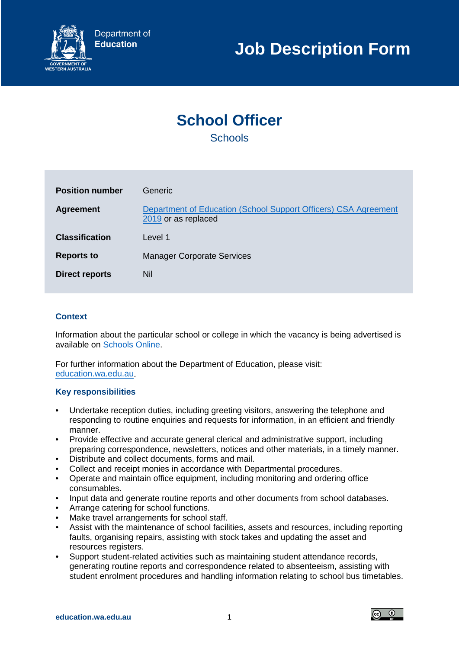

# **School Officer Schools**

**Position number Generic Agreement Department of Education (School Support Officers) CSA Agreement** [2019](http://forms.wairc.wa.gov.au/Agreements/Agrmnt2020/DEP163.pdf) or as replaced **Classification** Level 1 **Reports to** Manager Corporate Services **Direct reports** Nil

# **Context**

Information about the particular school or college in which the vacancy is being advertised is available on [Schools Online.](https://www.det.wa.edu.au/schoolsonline/home.do)

For further information about the Department of Education, please visit: [education.wa.edu.au.](https://www.education.wa.edu.au/)

## **Key responsibilities**

- Undertake reception duties, including greeting visitors, answering the telephone and responding to routine enquiries and requests for information, in an efficient and friendly manner.
- Provide effective and accurate general clerical and administrative support, including preparing correspondence, newsletters, notices and other materials, in a timely manner.
- Distribute and collect documents, forms and mail.
- Collect and receipt monies in accordance with Departmental procedures.
- Operate and maintain office equipment, including monitoring and ordering office consumables.
- Input data and generate routine reports and other documents from school databases.
- Arrange catering for school functions.
- Make travel arrangements for school staff.
- Assist with the maintenance of school facilities, assets and resources, including reporting faults, organising repairs, assisting with stock takes and updating the asset and resources registers.
- Support student-related activities such as maintaining student attendance records, generating routine reports and correspondence related to absenteeism, assisting with student enrolment procedures and handling information relating to school bus timetables.